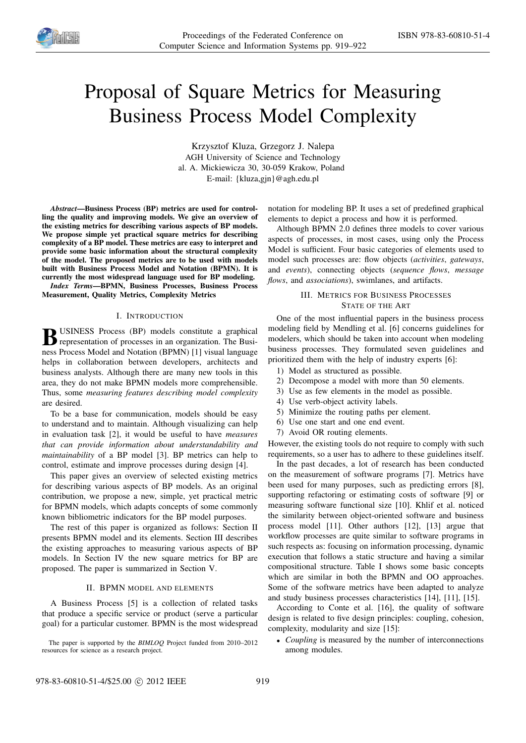

# Proposal of Square Metrics for Measuring Business Process Model Complexity

Krzysztof Kluza, Grzegorz J. Nalepa AGH University of Science and Technology al. A. Mickiewicza 30, 30-059 Krakow, Poland E-mail: {kluza,gjn}@agh.edu.pl

*Abstract*—Business Process (BP) metrics are used for controlling the quality and improving models. We give an overview of the existing metrics for describing various aspects of BP models. We propose simple yet practical square metrics for describing complexity of a BP model. These metrics are easy to interpret and provide some basic information about the structural complexity of the model. The proposed metrics are to be used with models built with Business Process Model and Notation (BPMN). It is currently the most widespread language used for BP modeling.

*Index Terms*—BPMN, Business Processes, Business Process Measurement, Quality Metrics, Complexity Metrics

### I. INTRODUCTION

**B** USINESS Process (BP) models constitute a graphical<br>representation of processes in an organization. The Business representation of processes in an organization. The Business Process Model and Notation (BPMN) [1] visual language helps in collaboration between developers, architects and business analysts. Although there are many new tools in this area, they do not make BPMN models more comprehensible. Thus, some *measuring features describing model complexity* are desired.

To be a base for communication, models should be easy to understand and to maintain. Although visualizing can help in evaluation task [2], it would be useful to have *measures that can provide information about understandability and maintainability* of a BP model [3]. BP metrics can help to control, estimate and improve processes during design [4].

This paper gives an overview of selected existing metrics for describing various aspects of BP models. As an original contribution, we propose a new, simple, yet practical metric for BPMN models, which adapts concepts of some commonly known bibliometric indicators for the BP model purposes.

The rest of this paper is organized as follows: Section II presents BPMN model and its elements. Section III describes the existing approaches to measuring various aspects of BP models. In Section IV the new square metrics for BP are proposed. The paper is summarized in Section V.

## II. BPMN MODEL AND ELEMENTS

A Business Process [5] is a collection of related tasks that produce a specific service or product (serve a particular goal) for a particular customer. BPMN is the most widespread

The paper is supported by the *BIMLOQ* Project funded from 2010–2012 resources for science as a research project.

notation for modeling BP. It uses a set of predefined graphical elements to depict a process and how it is performed.

Although BPMN 2.0 defines three models to cover various aspects of processes, in most cases, using only the Process Model is sufficient. Four basic categories of elements used to model such processes are: flow objects (*activities*, *gateways*, and *events*), connecting objects (*sequence flows*, *message flows*, and *associations*), swimlanes, and artifacts.

## III. METRICS FOR BUSINESS PROCESSES STATE OF THE ART

One of the most influential papers in the business process modeling field by Mendling et al. [6] concerns guidelines for modelers, which should be taken into account when modeling business processes. They formulated seven guidelines and prioritized them with the help of industry experts [6]:

- 1) Model as structured as possible.
- 2) Decompose a model with more than 50 elements.
- 3) Use as few elements in the model as possible.
- 4) Use verb-object activity labels.
- 5) Minimize the routing paths per element.
- 6) Use one start and one end event.
- 7) Avoid OR routing elements.

However, the existing tools do not require to comply with such requirements, so a user has to adhere to these guidelines itself.

In the past decades, a lot of research has been conducted on the measurement of software programs [7]. Metrics have been used for many purposes, such as predicting errors [8], supporting refactoring or estimating costs of software [9] or measuring software functional size [10]. Khlif et al. noticed the similarity between object-oriented software and business process model [11]. Other authors [12], [13] argue that workflow processes are quite similar to software programs in such respects as: focusing on information processing, dynamic execution that follows a static structure and having a similar compositional structure. Table I shows some basic concepts which are similar in both the BPMN and OO approaches. Some of the software metrics have been adapted to analyze and study business processes characteristics [14], [11], [15].

According to Conte et al. [16], the quality of software design is related to five design principles: coupling, cohesion, complexity, modularity and size [15]:

• *Coupling* is measured by the number of interconnections among modules.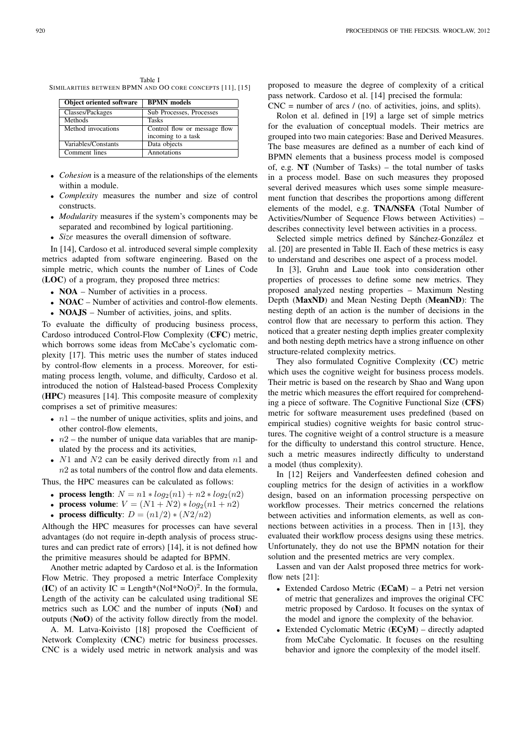| <b>Object oriented software</b> | <b>BPMN</b> models           |
|---------------------------------|------------------------------|
| Classes/Packages                | Sub Processes, Processes     |
| <b>Methods</b>                  | <b>Tasks</b>                 |
| Method invocations              | Control flow or message flow |
|                                 | incoming to a task           |
| Variables/Constants             | Data objects                 |
| Comment lines                   | Annotations                  |

Table I SIMILARITIES BETWEEN BPMN AND OO CORE CONCEPTS [11], [15]

- *Cohesion* is a measure of the relationships of the elements within a module.
- *Complexity* measures the number and size of control constructs.
- *Modularity* measures if the system's components may be separated and recombined by logical partitioning.
- *Size* measures the overall dimension of software.

In [14], Cardoso et al. introduced several simple complexity metrics adapted from software engineering. Based on the simple metric, which counts the number of Lines of Code (LOC) of a program, they proposed three metrics:

- **NOA** Number of activities in a process.
- **NOAC** Number of activities and control-flow elements.
- **NOAJS** Number of activities, joins, and splits.

To evaluate the difficulty of producing business process, Cardoso introduced Control-Flow Complexity (CFC) metric, which borrows some ideas from McCabe's cyclomatic complexity [17]. This metric uses the number of states induced by control-flow elements in a process. Moreover, for estimating process length, volume, and difficulty, Cardoso et al. introduced the notion of Halstead-based Process Complexity (HPC) measures [14]. This composite measure of complexity comprises a set of primitive measures:

- $n_1$  the number of unique activities, splits and joins, and other control-flow elements,
- $n2$  the number of unique data variables that are manipulated by the process and its activities,
- $N1$  and  $N2$  can be easily derived directly from  $n1$  and  $n2$  as total numbers of the control flow and data elements.

Thus, the HPC measures can be calculated as follows:

- process length:  $N = n1 * log_2(n1) + n2 * log_2(n2)$
- process volume:  $V = (N1 + N2) * log_2(n1 + n2)$
- process difficulty:  $D = (n1/2) * (N2/n2)$

Although the HPC measures for processes can have several advantages (do not require in-depth analysis of process structures and can predict rate of errors) [14], it is not defined how the primitive measures should be adapted for BPMN.

Another metric adapted by Cardoso et al. is the Information Flow Metric. They proposed a metric Interface Complexity (IC) of an activity IC = Length\*(NoI\*NoO)<sup>2</sup>. In the formula, Length of the activity can be calculated using traditional SE metrics such as LOC and the number of inputs (NoI) and outputs (NoO) of the activity follow directly from the model.

A. M. Latva-Koivisto [18] proposed the Coefficient of Network Complexity (CNC) metric for business processes. CNC is a widely used metric in network analysis and was

proposed to measure the degree of complexity of a critical pass network. Cardoso et al. [14] precised the formula:  $CNC =$  number of arcs / (no. of activities, joins, and splits).

Rolon et al. defined in [19] a large set of simple metrics for the evaluation of conceptual models. Their metrics are grouped into two main categories: Base and Derived Measures. The base measures are defined as a number of each kind of BPMN elements that a business process model is composed of, e.g. NT (Number of Tasks) – the total number of tasks in a process model. Base on such measures they proposed several derived measures which uses some simple measurement function that describes the proportions among different elements of the model, e.g. TNA/NSFA (Total Number of Activities/Number of Sequence Flows between Activities) – describes connectivity level between activities in a process.

Selected simple metrics defined by Sánchez-González et al. [20] are presented in Table II. Each of these metrics is easy to understand and describes one aspect of a process model.

In [3], Gruhn and Laue took into consideration other properties of processes to define some new metrics. They proposed analyzed nesting properties – Maximum Nesting Depth (MaxND) and Mean Nesting Depth (MeanND): The nesting depth of an action is the number of decisions in the control flow that are necessary to perform this action. They noticed that a greater nesting depth implies greater complexity and both nesting depth metrics have a strong influence on other structure-related complexity metrics.

They also formulated Cognitive Complexity (CC) metric which uses the cognitive weight for business process models. Their metric is based on the research by Shao and Wang upon the metric which measures the effort required for comprehending a piece of software. The Cognitive Functional Size (CFS) metric for software measurement uses predefined (based on empirical studies) cognitive weights for basic control structures. The cognitive weight of a control structure is a measure for the difficulty to understand this control structure. Hence, such a metric measures indirectly difficulty to understand a model (thus complexity).

In [12] Reijers and Vanderfeesten defined cohesion and coupling metrics for the design of activities in a workflow design, based on an information processing perspective on workflow processes. Their metrics concerned the relations between activities and information elements, as well as connections between activities in a process. Then in [13], they evaluated their workflow process designs using these metrics. Unfortunately, they do not use the BPMN notation for their solution and the presented metrics are very complex.

Lassen and van der Aalst proposed three metrics for workflow nets [21]:

- Extended Cardoso Metric (ECaM) a Petri net version of metric that generalizes and improves the original CFC metric proposed by Cardoso. It focuses on the syntax of the model and ignore the complexity of the behavior.
- Extended Cyclomatic Metric (ECyM) directly adapted from McCabe Cyclomatic. It focuses on the resulting behavior and ignore the complexity of the model itself.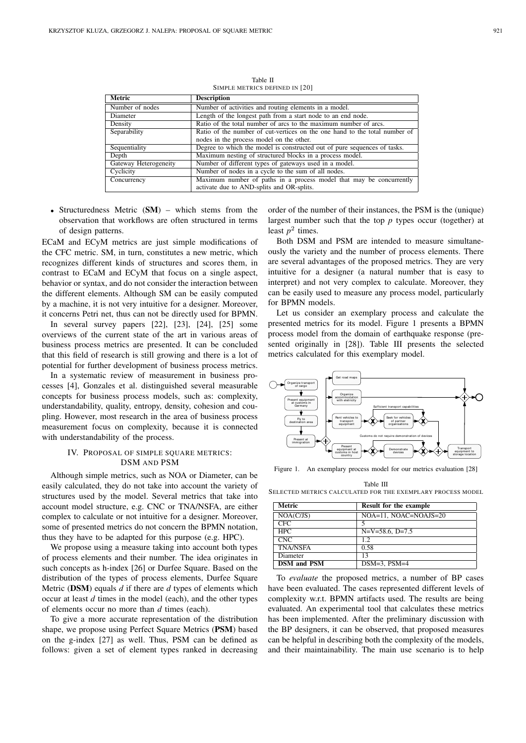| <b>Metric</b>         | <b>Description</b>                                                         |
|-----------------------|----------------------------------------------------------------------------|
| Number of nodes       | Number of activities and routing elements in a model.                      |
| Diameter              | Length of the longest path from a start node to an end node.               |
| Density               | Ratio of the total number of arcs to the maximum number of arcs.           |
| Separability          | Ratio of the number of cut-vertices on the one hand to the total number of |
|                       | nodes in the process model on the other.                                   |
| Sequentiality         | Degree to which the model is constructed out of pure sequences of tasks.   |
| Depth                 | Maximum nesting of structured blocks in a process model.                   |
| Gateway Heterogeneity | Number of different types of gateways used in a model.                     |
| Cyclicity             | Number of nodes in a cycle to the sum of all nodes.                        |
| Concurrency           | Maximum number of paths in a process model that may be concurrently        |
|                       | activate due to AND-splits and OR-splits.                                  |

Table II SIMPLE METRICS DEFINED IN [20]

• Structuredness Metric (SM) – which stems from the observation that workflows are often structured in terms of design patterns.

ECaM and ECyM metrics are just simple modifications of the CFC metric. SM, in turn, constitutes a new metric, which recognizes different kinds of structures and scores them, in contrast to ECaM and ECyM that focus on a single aspect, behavior or syntax, and do not consider the interaction between the different elements. Although SM can be easily computed by a machine, it is not very intuitive for a designer. Moreover, it concerns Petri net, thus can not be directly used for BPMN.

In several survey papers [22], [23], [24], [25] some overviews of the current state of the art in various areas of business process metrics are presented. It can be concluded that this field of research is still growing and there is a lot of potential for further development of business process metrics.

In a systematic review of measurement in business processes [4], Gonzales et al. distinguished several measurable concepts for business process models, such as: complexity, understandability, quality, entropy, density, cohesion and coupling. However, most research in the area of business process measurement focus on complexity, because it is connected with understandability of the process.

## IV. PROPOSAL OF SIMPLE SQUARE METRICS: DSM AND PSM

Although simple metrics, such as NOA or Diameter, can be easily calculated, they do not take into account the variety of structures used by the model. Several metrics that take into account model structure, e.g. CNC or TNA/NSFA, are either complex to calculate or not intuitive for a designer. Moreover, some of presented metrics do not concern the BPMN notation, thus they have to be adapted for this purpose (e.g. HPC).

We propose using a measure taking into account both types of process elements and their number. The idea originates in such concepts as h-index [26] or Durfee Square. Based on the distribution of the types of process elements, Durfee Square Metric (DSM) equals *d* if there are *d* types of elements which occur at least *d* times in the model (each), and the other types of elements occur no more than *d* times (each).

To give a more accurate representation of the distribution shape, we propose using Perfect Square Metrics (PSM) based on the g-index [27] as well. Thus, PSM can be defined as follows: given a set of element types ranked in decreasing

order of the number of their instances, the PSM is the (unique) largest number such that the top *p* types occur (together) at least  $p^2$  times.

Both DSM and PSM are intended to measure simultaneously the variety and the number of process elements. There are several advantages of the proposed metrics. They are very intuitive for a designer (a natural number that is easy to interpret) and not very complex to calculate. Moreover, they can be easily used to measure any process model, particularly for BPMN models.

Let us consider an exemplary process and calculate the presented metrics for its model. Figure 1 presents a BPMN process model from the domain of earthquake response (presented originally in [28]). Table III presents the selected metrics calculated for this exemplary model.



Figure 1. An exemplary process model for our metrics evaluation [28]

Table III SELECTED METRICS CALCULATED FOR THE EXEMPLARY PROCESS MODEL

| Metric             | Result for the example |
|--------------------|------------------------|
| NOA(C/JS)          | NOA=11, NOAC=NOAJS=20  |
| <b>CFC</b>         | 5                      |
| <b>HPC</b>         | $N=V=58.6$ , $D=7.5$   |
| <b>CNC</b>         | 12                     |
| <b>TNA/NSFA</b>    | 0.58                   |
| Diameter           | 13                     |
| <b>DSM</b> and PSM | $DSM=3$ , $PSM=4$      |

To *evaluate* the proposed metrics, a number of BP cases have been evaluated. The cases represented different levels of complexity w.r.t. BPMN artifacts used. The results are being evaluated. An experimental tool that calculates these metrics has been implemented. After the preliminary discussion with the BP designers, it can be observed, that proposed measures can be helpful in describing both the complexity of the models, and their maintainability. The main use scenario is to help